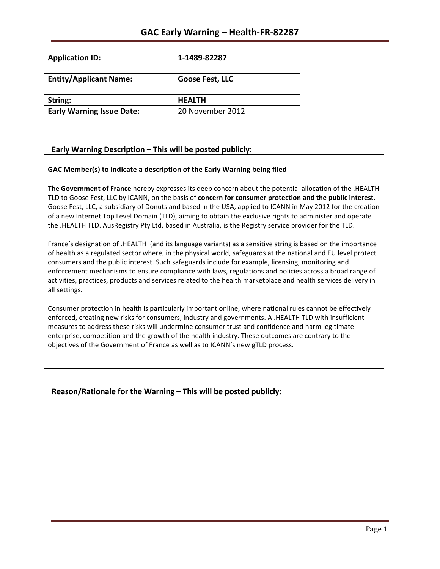| <b>Application ID:</b>           | 1-1489-82287     |
|----------------------------------|------------------|
| <b>Entity/Applicant Name:</b>    | Goose Fest, LLC  |
| String:                          | <b>HEALTH</b>    |
| <b>Early Warning Issue Date:</b> | 20 November 2012 |

# Early Warning Description - This will be posted publicly:

## GAC Member(s) to indicate a description of the Early Warning being filed

The Government of France hereby expresses its deep concern about the potential allocation of the .HEALTH TLD to Goose Fest, LLC by ICANN, on the basis of **concern for consumer protection and the public interest**. Goose Fest, LLC, a subsidiary of Donuts and based in the USA, applied to ICANN in May 2012 for the creation of a new Internet Top Level Domain (TLD), aiming to obtain the exclusive rights to administer and operate the .HEALTH TLD. AusRegistry Pty Ltd, based in Australia, is the Registry service provider for the TLD.

France's designation of .HEALTH (and its language variants) as a sensitive string is based on the importance of health as a regulated sector where, in the physical world, safeguards at the national and EU level protect consumers and the public interest. Such safeguards include for example, licensing, monitoring and enforcement mechanisms to ensure compliance with laws, regulations and policies across a broad range of activities, practices, products and services related to the health marketplace and health services delivery in all settings.

Consumer protection in health is particularly important online, where national rules cannot be effectively enforced, creating new risks for consumers, industry and governments. A .HEALTH TLD with insufficient measures to address these risks will undermine consumer trust and confidence and harm legitimate enterprise, competition and the growth of the health industry. These outcomes are contrary to the objectives of the Government of France as well as to ICANN's new gTLD process.

**Reason/Rationale for the Warning – This will be posted publicly:**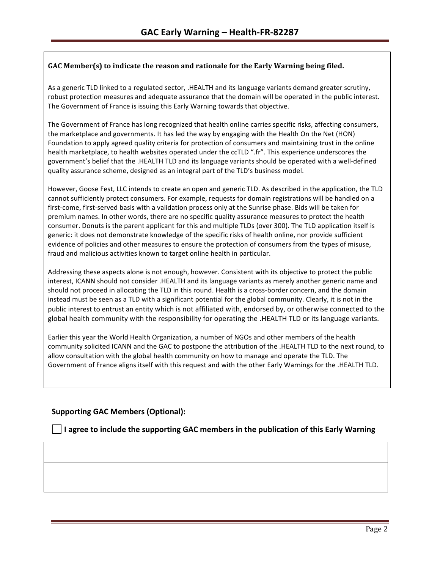## **GAC Member(s)** to indicate the reason and rationale for the Early Warning being filed.

As a generic TLD linked to a regulated sector, .HEALTH and its language variants demand greater scrutiny, robust protection measures and adequate assurance that the domain will be operated in the public interest. The Government of France is issuing this Early Warning towards that objective.

The Government of France has long recognized that health online carries specific risks, affecting consumers, the marketplace and governments. It has led the way by engaging with the Health On the Net (HON) Foundation to apply agreed quality criteria for protection of consumers and maintaining trust in the online health marketplace, to health websites operated under the ccTLD ".fr". This experience underscores the government's belief that the .HEALTH TLD and its language variants should be operated with a well-defined quality assurance scheme, designed as an integral part of the TLD's business model.

However, Goose Fest, LLC intends to create an open and generic TLD. As described in the application, the TLD cannot sufficiently protect consumers. For example, requests for domain registrations will be handled on a first-come, first-served basis with a validation process only at the Sunrise phase. Bids will be taken for premium names. In other words, there are no specific quality assurance measures to protect the health consumer. Donuts is the parent applicant for this and multiple TLDs (over 300). The TLD application itself is generic: it does not demonstrate knowledge of the specific risks of health online, nor provide sufficient evidence of policies and other measures to ensure the protection of consumers from the types of misuse, fraud and malicious activities known to target online health in particular.

Addressing these aspects alone is not enough, however. Consistent with its objective to protect the public interest, ICANN should not consider .HEALTH and its language variants as merely another generic name and should not proceed in allocating the TLD in this round. Health is a cross-border concern, and the domain instead must be seen as a TLD with a significant potential for the global community. Clearly, it is not in the public interest to entrust an entity which is not affiliated with, endorsed by, or otherwise connected to the global health community with the responsibility for operating the .HEALTH TLD or its language variants.

Earlier this year the World Health Organization, a number of NGOs and other members of the health community solicited ICANN and the GAC to postpone the attribution of the .HEALTH TLD to the next round, to allow consultation with the global health community on how to manage and operate the TLD. The Government of France aligns itself with this request and with the other Early Warnings for the .HEALTH TLD.

# **Supporting GAC Members (Optional):**

## **I** I agree to include the supporting GAC members in the publication of this Early Warning

| the control of the control of the control of the control of the control of the control of |  |
|-------------------------------------------------------------------------------------------|--|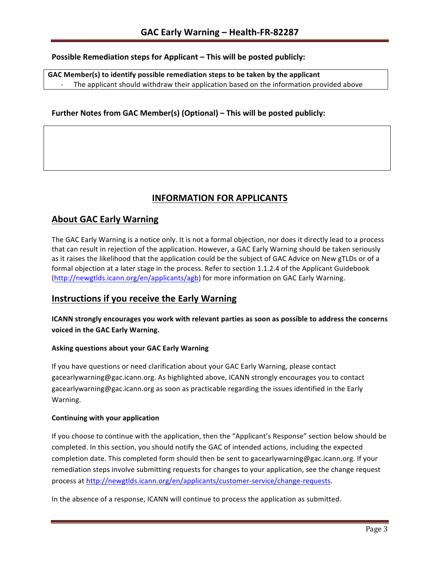# **Possible Remediation steps for Applicant - This will be posted publicly:**

GAC Member(s) to identify possible remediation steps to be taken by the applicant The applicant should withdraw their application based on the information provided above

## **Further Notes from GAC Member(s) (Optional) – This will be posted publicly:**

# **INFORMATION FOR APPLICANTS**

# **About GAC Early Warning**

The GAC Early Warning is a notice only. It is not a formal objection, nor does it directly lead to a process that can result in rejection of the application. However, a GAC Early Warning should be taken seriously as it raises the likelihood that the application could be the subject of GAC Advice on New gTLDs or of a formal objection at a later stage in the process. Refer to section 1.1.2.4 of the Applicant Guidebook (http://newgtlds.icann.org/en/applicants/agb) for more information on GAC Early Warning.

# **Instructions if you receive the Early Warning**

**ICANN** strongly encourages you work with relevant parties as soon as possible to address the concerns **voiced in the GAC Early Warning.** 

#### **Asking questions about your GAC Early Warning**

If you have questions or need clarification about your GAC Early Warning, please contact gacearlywarning@gac.icann.org. As highlighted above, ICANN strongly encourages you to contact gacearlywarning@gac.icann.org as soon as practicable regarding the issues identified in the Early Warning. 

#### **Continuing with your application**

If you choose to continue with the application, then the "Applicant's Response" section below should be completed. In this section, you should notify the GAC of intended actions, including the expected completion date. This completed form should then be sent to gacearlywarning@gac.icann.org. If your remediation steps involve submitting requests for changes to your application, see the change request process at http://newgtlds.icann.org/en/applicants/customer-service/change-requests.

In the absence of a response, ICANN will continue to process the application as submitted.